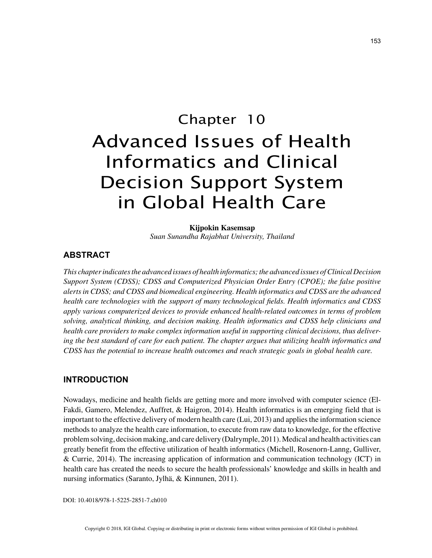# Chapter 10 Advanced Issues of Health Informatics and Clinical Decision Support System in Global Health Care

**Kijpokin Kasemsap** *Suan Sunandha Rajabhat University, Thailand*

# **ABSTRACT**

*This chapter indicates the advanced issues of health informatics; the advanced issues of Clinical Decision Support System (CDSS); CDSS and Computerized Physician Order Entry (CPOE); the false positive alerts in CDSS; and CDSS and biomedical engineering. Health informatics and CDSS are the advanced health care technologies with the support of many technological fields. Health informatics and CDSS apply various computerized devices to provide enhanced health-related outcomes in terms of problem solving, analytical thinking, and decision making. Health informatics and CDSS help clinicians and health care providers to make complex information useful in supporting clinical decisions, thus delivering the best standard of care for each patient. The chapter argues that utilizing health informatics and CDSS has the potential to increase health outcomes and reach strategic goals in global health care.*

### **INTRODUCTION**

Nowadays, medicine and health fields are getting more and more involved with computer science (El-Fakdi, Gamero, Melendez, Auffret, & Haigron, 2014). Health informatics is an emerging field that is important to the effective delivery of modern health care (Lui, 2013) and applies the information science methods to analyze the health care information, to execute from raw data to knowledge, for the effective problem solving, decision making, and care delivery (Dalrymple, 2011). Medical and health activities can greatly benefit from the effective utilization of health informatics (Michell, Rosenorn-Lanng, Gulliver, & Currie, 2014). The increasing application of information and communication technology (ICT) in health care has created the needs to secure the health professionals' knowledge and skills in health and nursing informatics (Saranto, Jylhä, & Kinnunen, 2011).

DOI: 10.4018/978-1-5225-2851-7.ch010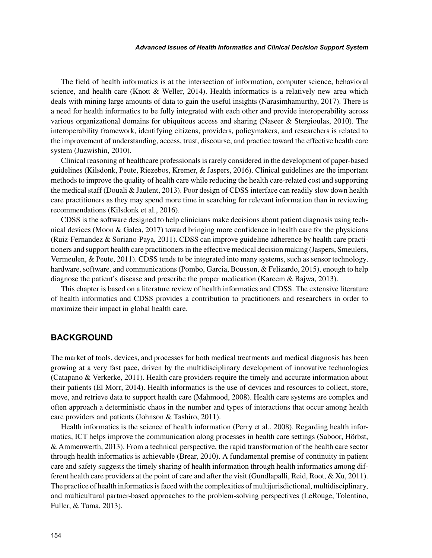#### *Advanced Issues of Health Informatics and Clinical Decision Support System*

The field of health informatics is at the intersection of information, computer science, behavioral science, and health care (Knott & Weller, 2014). Health informatics is a relatively new area which deals with mining large amounts of data to gain the useful insights (Narasimhamurthy, 2017). There is a need for health informatics to be fully integrated with each other and provide interoperability across various organizational domains for ubiquitous access and sharing (Naseer & Stergioulas, 2010). The interoperability framework, identifying citizens, providers, policymakers, and researchers is related to the improvement of understanding, access, trust, discourse, and practice toward the effective health care system (Juzwishin, 2010).

Clinical reasoning of healthcare professionals is rarely considered in the development of paper-based guidelines (Kilsdonk, Peute, Riezebos, Kremer, & Jaspers, 2016). Clinical guidelines are the important methods to improve the quality of health care while reducing the health care-related cost and supporting the medical staff (Douali & Jaulent, 2013). Poor design of CDSS interface can readily slow down health care practitioners as they may spend more time in searching for relevant information than in reviewing recommendations (Kilsdonk et al., 2016).

CDSS is the software designed to help clinicians make decisions about patient diagnosis using technical devices (Moon & Galea, 2017) toward bringing more confidence in health care for the physicians (Ruiz-Fernandez & Soriano-Paya, 2011). CDSS can improve guideline adherence by health care practitioners and support health care practitioners in the effective medical decision making (Jaspers, Smeulers, Vermeulen, & Peute, 2011). CDSS tends to be integrated into many systems, such as sensor technology, hardware, software, and communications (Pombo, Garcia, Bousson, & Felizardo, 2015), enough to help diagnose the patient's disease and prescribe the proper medication (Kareem & Bajwa, 2013).

This chapter is based on a literature review of health informatics and CDSS. The extensive literature of health informatics and CDSS provides a contribution to practitioners and researchers in order to maximize their impact in global health care.

# **BACKGROUND**

The market of tools, devices, and processes for both medical treatments and medical diagnosis has been growing at a very fast pace, driven by the multidisciplinary development of innovative technologies (Catapano & Verkerke, 2011). Health care providers require the timely and accurate information about their patients (El Morr, 2014). Health informatics is the use of devices and resources to collect, store, move, and retrieve data to support health care (Mahmood, 2008). Health care systems are complex and often approach a deterministic chaos in the number and types of interactions that occur among health care providers and patients (Johnson & Tashiro, 2011).

Health informatics is the science of health information (Perry et al., 2008). Regarding health informatics, ICT helps improve the communication along processes in health care settings (Saboor, Hörbst, & Ammenwerth, 2013). From a technical perspective, the rapid transformation of the health care sector through health informatics is achievable (Brear, 2010). A fundamental premise of continuity in patient care and safety suggests the timely sharing of health information through health informatics among different health care providers at the point of care and after the visit (Gundlapalli, Reid, Root, & Xu, 2011). The practice of health informatics is faced with the complexities of multijurisdictional, multidisciplinary, and multicultural partner-based approaches to the problem-solving perspectives (LeRouge, Tolentino, Fuller, & Tuma, 2013).